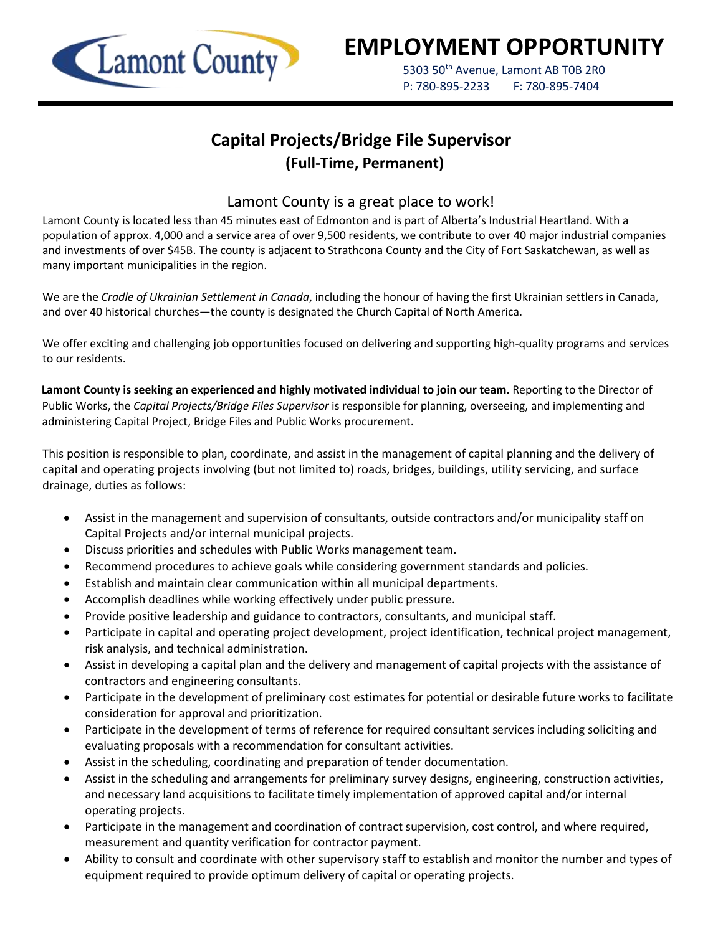

# **EMPLOYMENT OPPORTUNITY**

5303 50<sup>th</sup> Avenue, Lamont AB T0B 2R0 P: 780-895-2233 F: 780-895-7404

## **Capital Projects/Bridge File Supervisor (Full-Time, Permanent)**

### Lamont County is a great place to work!

Lamont County is located less than 45 minutes east of Edmonton and is part of Alberta's Industrial Heartland. With a population of approx. 4,000 and a service area of over 9,500 residents, we contribute to over 40 major industrial companies and investments of over \$45B. The county is adjacent to Strathcona County and the City of Fort Saskatchewan, as well as many important municipalities in the region.

We are the *Cradle of Ukrainian Settlement in Canada*, including the honour of having the first Ukrainian settlers in Canada, and over 40 historical churches—the county is designated the Church Capital of North America.

We offer exciting and challenging job opportunities focused on delivering and supporting high-quality programs and services to our residents.

**Lamont County is seeking an experienced and highly motivated individual to join our team.** Reporting to the Director of Public Works, the *Capital Projects/Bridge Files Supervisor* is responsible for planning, overseeing, and implementing and administering Capital Project, Bridge Files and Public Works procurement.

This position is responsible to plan, coordinate, and assist in the management of capital planning and the delivery of capital and operating projects involving (but not limited to) roads, bridges, buildings, utility servicing, and surface drainage, duties as follows:

- Assist in the management and supervision of consultants, outside contractors and/or municipality staff on Capital Projects and/or internal municipal projects.
- Discuss priorities and schedules with Public Works management team.
- Recommend procedures to achieve goals while considering government standards and policies.
- Establish and maintain clear communication within all municipal departments.
- Accomplish deadlines while working effectively under public pressure.
- Provide positive leadership and guidance to contractors, consultants, and municipal staff.
- Participate in capital and operating project development, project identification, technical project management, risk analysis, and technical administration.
- Assist in developing a capital plan and the delivery and management of capital projects with the assistance of contractors and engineering consultants.
- Participate in the development of preliminary cost estimates for potential or desirable future works to facilitate consideration for approval and prioritization.
- Participate in the development of terms of reference for required consultant services including soliciting and evaluating proposals with a recommendation for consultant activities.
- Assist in the scheduling, coordinating and preparation of tender documentation.
- Assist in the scheduling and arrangements for preliminary survey designs, engineering, construction activities, and necessary land acquisitions to facilitate timely implementation of approved capital and/or internal operating projects.
- Participate in the management and coordination of contract supervision, cost control, and where required, measurement and quantity verification for contractor payment.
- Ability to consult and coordinate with other supervisory staff to establish and monitor the number and types of equipment required to provide optimum delivery of capital or operating projects.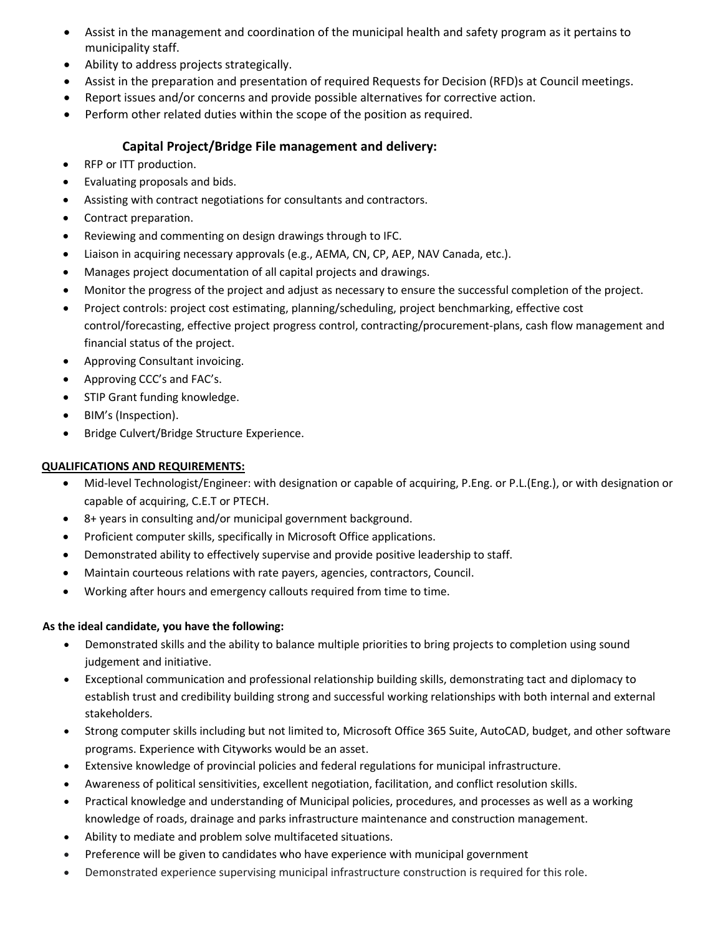- Assist in the management and coordination of the municipal health and safety program as it pertains to municipality staff.
- Ability to address projects strategically.
- Assist in the preparation and presentation of required Requests for Decision (RFD)s at Council meetings.
- Report issues and/or concerns and provide possible alternatives for corrective action.
- Perform other related duties within the scope of the position as required.

#### **Capital Project/Bridge File management and delivery:**

- RFP or ITT production.
- Evaluating proposals and bids.
- Assisting with contract negotiations for consultants and contractors.
- Contract preparation.
- Reviewing and commenting on design drawings through to IFC.
- Liaison in acquiring necessary approvals (e.g., AEMA, CN, CP, AEP, NAV Canada, etc.).
- Manages project documentation of all capital projects and drawings.
- Monitor the progress of the project and adjust as necessary to ensure the successful completion of the project.
- Project controls: project cost estimating, planning/scheduling, project benchmarking, effective cost control/forecasting, effective project progress control, contracting/procurement-plans, cash flow management and financial status of the project.
- Approving Consultant invoicing.
- Approving CCC's and FAC's.
- STIP Grant funding knowledge.
- BIM's (Inspection).
- Bridge Culvert/Bridge Structure Experience.

#### **QUALIFICATIONS AND REQUIREMENTS:**

- Mid-level Technologist/Engineer: with designation or capable of acquiring, P.Eng. or P.L.(Eng.), or with designation or capable of acquiring, C.E.T or PTECH.
- 8+ years in consulting and/or municipal government background.
- Proficient computer skills, specifically in Microsoft Office applications.
- Demonstrated ability to effectively supervise and provide positive leadership to staff.
- Maintain courteous relations with rate payers, agencies, contractors, Council.
- Working after hours and emergency callouts required from time to time.

#### **As the ideal candidate, you have the following:**

- Demonstrated skills and the ability to balance multiple priorities to bring projects to completion using sound judgement and initiative.
- Exceptional communication and professional relationship building skills, demonstrating tact and diplomacy to establish trust and credibility building strong and successful working relationships with both internal and external stakeholders.
- Strong computer skills including but not limited to, Microsoft Office 365 Suite, AutoCAD, budget, and other software programs. Experience with Cityworks would be an asset.
- Extensive knowledge of provincial policies and federal regulations for municipal infrastructure.
- Awareness of political sensitivities, excellent negotiation, facilitation, and conflict resolution skills.
- Practical knowledge and understanding of Municipal policies, procedures, and processes as well as a working knowledge of roads, drainage and parks infrastructure maintenance and construction management.
- Ability to mediate and problem solve multifaceted situations.
- Preference will be given to candidates who have experience with municipal government
- Demonstrated experience supervising municipal infrastructure construction is required for this role.